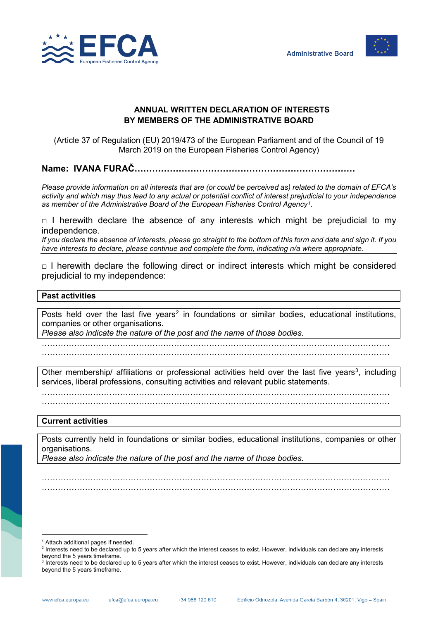



## **ANNUAL WRITTEN DECLARATION OF INTERESTS BY MEMBERS OF THE ADMINISTRATIVE BOARD**

(Article 37 of Regulation (EU) 2019/473 of the European Parliament and of the Council of 19 March 2019 on the European Fisheries Control Agency)

**Name: IVANA FURAČ…………………………………………………………………**

*Please provide information on all interests that are (or could be perceived as) related to the domain of EFCA's activity and which may thus lead to any actual or potential conflict of interest prejudicial to your independence as member of the Administrative Board of the European Fisheries Control Agency[1](#page-0-0).*

 $\Box$  I herewith declare the absence of any interests which might be prejudicial to my independence.

*If you declare the absence of interests, please go straight to the bottom of this form and date and sign it. If you have interests to declare, please continue and complete the form, indicating n/a where appropriate.*

 $\Box$  I herewith declare the following direct or indirect interests which might be considered prejudicial to my independence:

## **Past activities**

Posts held over the last five years<sup>[2](#page-0-1)</sup> in foundations or similar bodies, educational institutions, companies or other organisations.

*Please also indicate the nature of the post and the name of those bodies.*

………………………………………………………………………………………………………………… …………………………………………………………………………………………………………………

Other membership/ affiliations or professional activities held over the last five years<sup>[3](#page-0-2)</sup>, including services, liberal professions, consulting activities and relevant public statements.

…………………………………………………………………………………………………………………

…………………………………………………………………………………………………………………

## **Current activities**

Posts currently held in foundations or similar bodies, educational institutions, companies or other organisations.

………………………………………………………………………………………………………………… …………………………………………………………………………………………………………………

*Please also indicate the nature of the post and the name of those bodies.*

 $\overline{a}$  $1$  Attach additional pages if needed.

<span id="page-0-1"></span><span id="page-0-0"></span><sup>&</sup>lt;sup>2</sup> Interests need to be declared up to 5 years after which the interest ceases to exist. However, individuals can declare any interests beyond the 5 years timeframe.

<span id="page-0-2"></span><sup>3</sup> Interests need to be declared up to 5 years after which the interest ceases to exist. However, individuals can declare any interests beyond the 5 years timeframe.